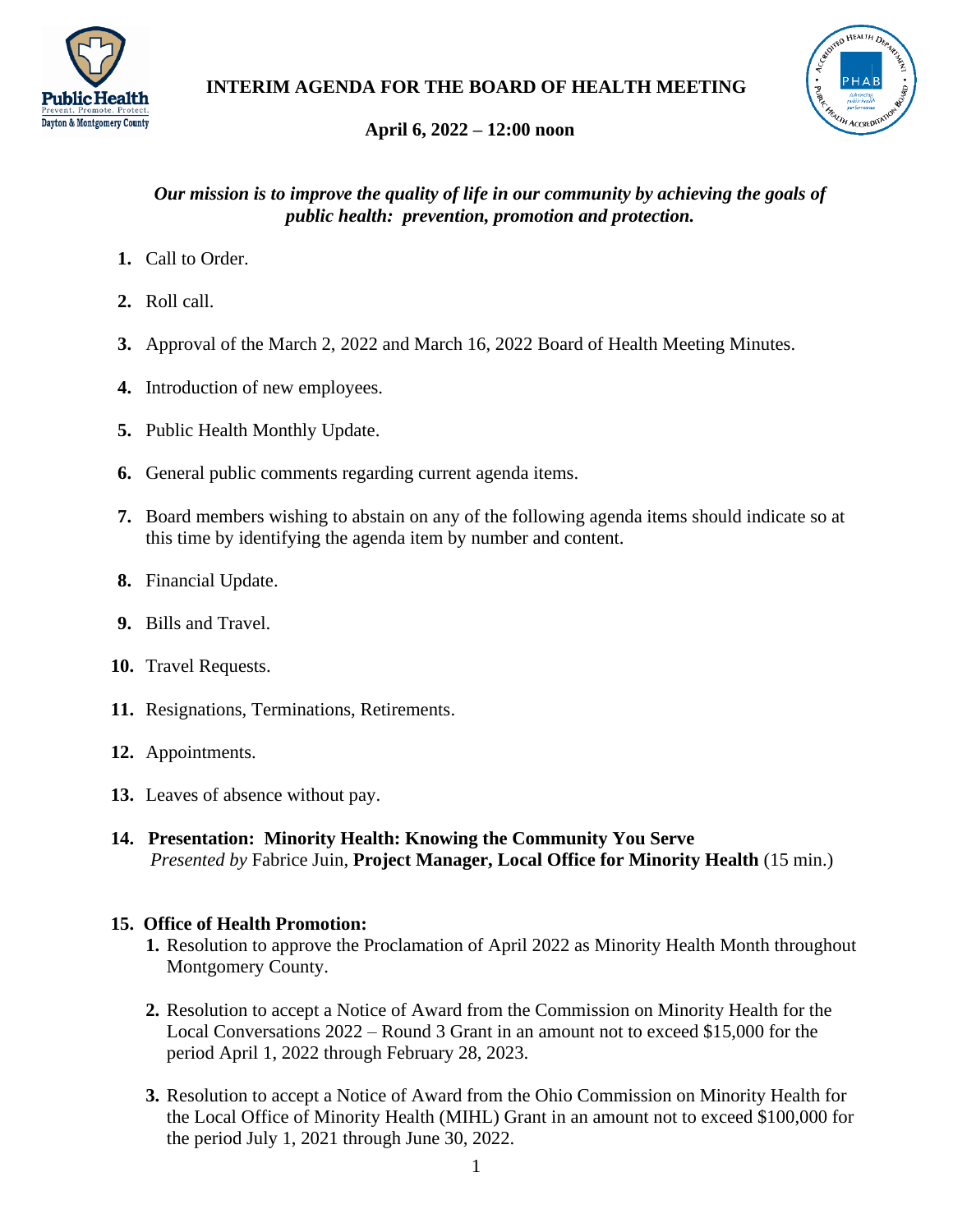



# **April 6, 2022 – 12:00 noon**

# *Our mission is to improve the quality of life in our community by achieving the goals of public health: prevention, promotion and protection.*

- **1.** Call to Order.
- **2.** Roll call.
- **3.** Approval of the March 2, 2022 and March 16, 2022 Board of Health Meeting Minutes.
- **4.** Introduction of new employees.
- **5.** Public Health Monthly Update.
- **6.** General public comments regarding current agenda items.
- **7.** Board members wishing to abstain on any of the following agenda items should indicate so at this time by identifying the agenda item by number and content.
- **8.** Financial Update.
- **9.** Bills and Travel.
- **10.** Travel Requests.
- **11.** Resignations, Terminations, Retirements.
- **12.** Appointments.
- **13.** Leaves of absence without pay.
- **14. Presentation: Minority Health: Knowing the Community You Serve** *Presented by* Fabrice Juin, **Project Manager, Local Office for Minority Health** (15 min.)

# **15. Office of Health Promotion:**

- **1.** Resolution to approve the Proclamation of April 2022 as Minority Health Month throughout Montgomery County.
- **2.** Resolution to accept a Notice of Award from the Commission on Minority Health for the Local Conversations 2022 – Round 3 Grant in an amount not to exceed \$15,000 for the period April 1, 2022 through February 28, 2023.
- **3.** Resolution to accept a Notice of Award from the Ohio Commission on Minority Health for the Local Office of Minority Health (MIHL) Grant in an amount not to exceed \$100,000 for the period July 1, 2021 through June 30, 2022.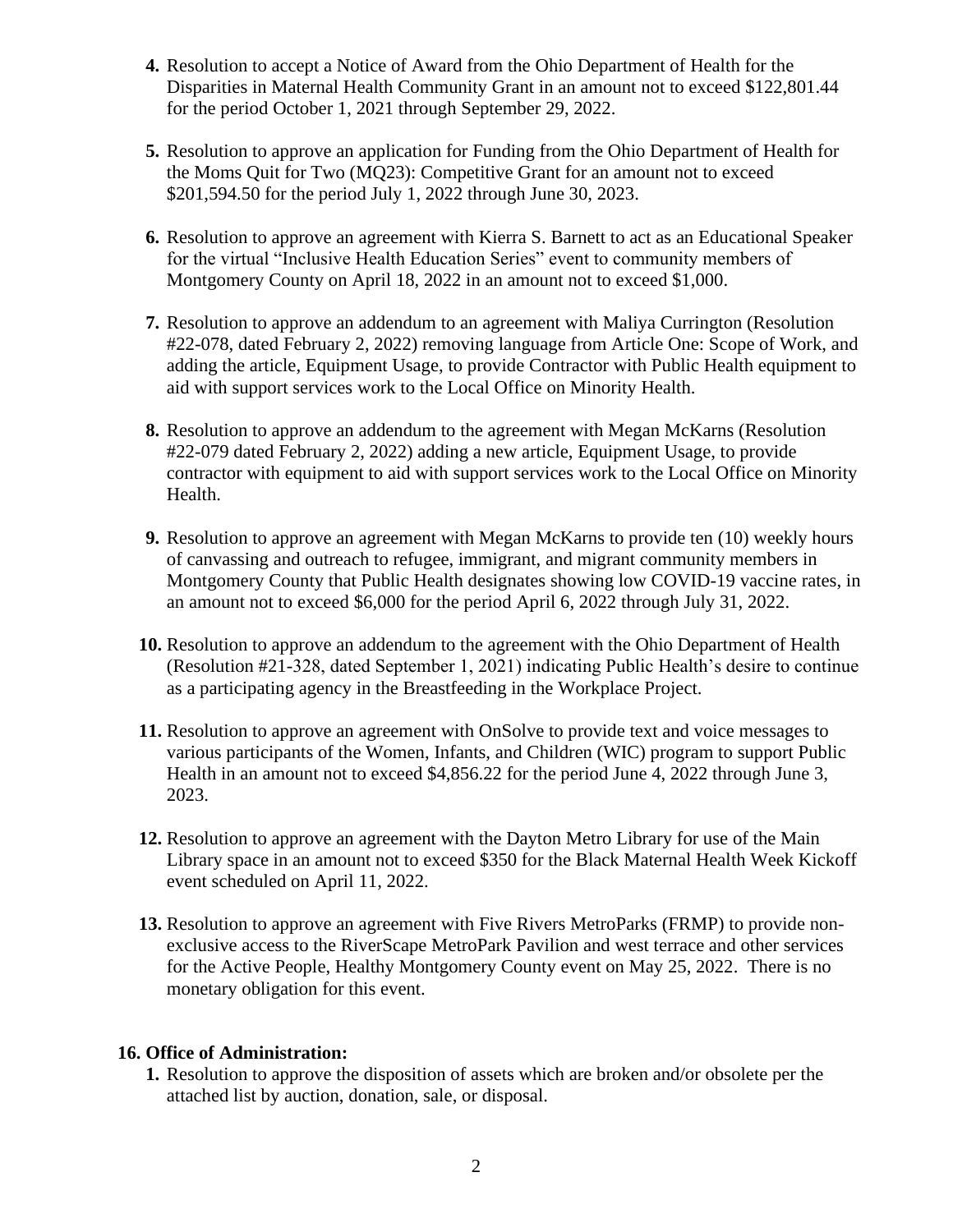- **4.** Resolution to accept a Notice of Award from the Ohio Department of Health for the Disparities in Maternal Health Community Grant in an amount not to exceed \$122,801.44 for the period October 1, 2021 through September 29, 2022.
- **5.** Resolution to approve an application for Funding from the Ohio Department of Health for the Moms Quit for Two (MQ23): Competitive Grant for an amount not to exceed \$201,594.50 for the period July 1, 2022 through June 30, 2023.
- **6.** Resolution to approve an agreement with Kierra S. Barnett to act as an Educational Speaker for the virtual "Inclusive Health Education Series" event to community members of Montgomery County on April 18, 2022 in an amount not to exceed \$1,000.
- **7.** Resolution to approve an addendum to an agreement with Maliya Currington (Resolution #22-078, dated February 2, 2022) removing language from Article One: Scope of Work, and adding the article, Equipment Usage, to provide Contractor with Public Health equipment to aid with support services work to the Local Office on Minority Health.
- **8.** Resolution to approve an addendum to the agreement with Megan McKarns (Resolution #22-079 dated February 2, 2022) adding a new article, Equipment Usage, to provide contractor with equipment to aid with support services work to the Local Office on Minority Health.
- **9.** Resolution to approve an agreement with Megan McKarns to provide ten (10) weekly hours of canvassing and outreach to refugee, immigrant, and migrant community members in Montgomery County that Public Health designates showing low COVID-19 vaccine rates, in an amount not to exceed \$6,000 for the period April 6, 2022 through July 31, 2022.
- **10.** Resolution to approve an addendum to the agreement with the Ohio Department of Health (Resolution #21-328, dated September 1, 2021) indicating Public Health's desire to continue as a participating agency in the Breastfeeding in the Workplace Project.
- **11.** Resolution to approve an agreement with OnSolve to provide text and voice messages to various participants of the Women, Infants, and Children (WIC) program to support Public Health in an amount not to exceed \$4,856.22 for the period June 4, 2022 through June 3, 2023.
- **12.** Resolution to approve an agreement with the Dayton Metro Library for use of the Main Library space in an amount not to exceed \$350 for the Black Maternal Health Week Kickoff event scheduled on April 11, 2022.
- **13.** Resolution to approve an agreement with Five Rivers MetroParks (FRMP) to provide nonexclusive access to the RiverScape MetroPark Pavilion and west terrace and other services for the Active People, Healthy Montgomery County event on May 25, 2022. There is no monetary obligation for this event.

## **16. Office of Administration:**

**1.** Resolution to approve the disposition of assets which are broken and/or obsolete per the attached list by auction, donation, sale, or disposal.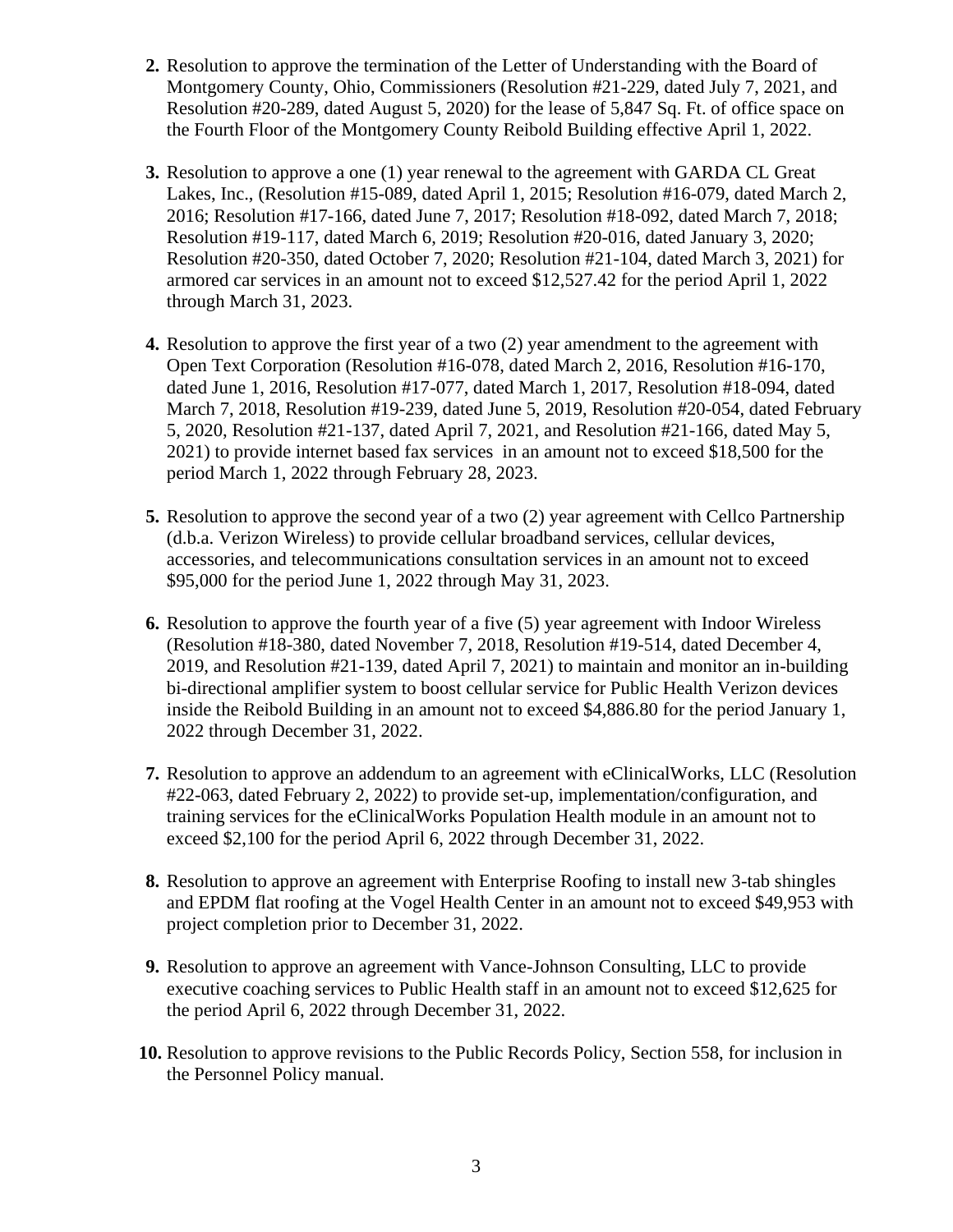- **2.** Resolution to approve the termination of the Letter of Understanding with the Board of Montgomery County, Ohio, Commissioners (Resolution #21-229, dated July 7, 2021, and Resolution #20-289, dated August 5, 2020) for the lease of 5,847 Sq. Ft. of office space on the Fourth Floor of the Montgomery County Reibold Building effective April 1, 2022.
- **3.** Resolution to approve a one (1) year renewal to the agreement with GARDA CL Great Lakes, Inc., (Resolution #15-089, dated April 1, 2015; Resolution #16-079, dated March 2, 2016; Resolution #17-166, dated June 7, 2017; Resolution #18-092, dated March 7, 2018; Resolution #19-117, dated March 6, 2019; Resolution #20-016, dated January 3, 2020; Resolution #20-350, dated October 7, 2020; Resolution #21-104, dated March 3, 2021) for armored car services in an amount not to exceed \$12,527.42 for the period April 1, 2022 through March 31, 2023.
- **4.** Resolution to approve the first year of a two (2) year amendment to the agreement with Open Text Corporation (Resolution #16-078, dated March 2, 2016, Resolution #16-170, dated June 1, 2016, Resolution #17-077, dated March 1, 2017, Resolution #18-094, dated March 7, 2018, Resolution #19-239, dated June 5, 2019, Resolution #20-054, dated February 5, 2020, Resolution #21-137, dated April 7, 2021, and Resolution #21-166, dated May 5, 2021) to provide internet based fax services in an amount not to exceed \$18,500 for the period March 1, 2022 through February 28, 2023.
- **5.** Resolution to approve the second year of a two (2) year agreement with Cellco Partnership (d.b.a. Verizon Wireless) to provide cellular broadband services, cellular devices, accessories, and telecommunications consultation services in an amount not to exceed \$95,000 for the period June 1, 2022 through May 31, 2023.
- **6.** Resolution to approve the fourth year of a five (5) year agreement with Indoor Wireless (Resolution #18-380, dated November 7, 2018, Resolution #19-514, dated December 4, 2019, and Resolution #21-139, dated April 7, 2021) to maintain and monitor an in-building bi-directional amplifier system to boost cellular service for Public Health Verizon devices inside the Reibold Building in an amount not to exceed \$4,886.80 for the period January 1, 2022 through December 31, 2022.
- **7.** Resolution to approve an addendum to an agreement with eClinicalWorks, LLC (Resolution #22-063, dated February 2, 2022) to provide set-up, implementation/configuration, and training services for the eClinicalWorks Population Health module in an amount not to exceed \$2,100 for the period April 6, 2022 through December 31, 2022.
- **8.** Resolution to approve an agreement with Enterprise Roofing to install new 3-tab shingles and EPDM flat roofing at the Vogel Health Center in an amount not to exceed \$49,953 with project completion prior to December 31, 2022.
- **9.** Resolution to approve an agreement with Vance-Johnson Consulting, LLC to provide executive coaching services to Public Health staff in an amount not to exceed \$12,625 for the period April 6, 2022 through December 31, 2022.
- **10.** Resolution to approve revisions to the Public Records Policy, Section 558, for inclusion in the Personnel Policy manual.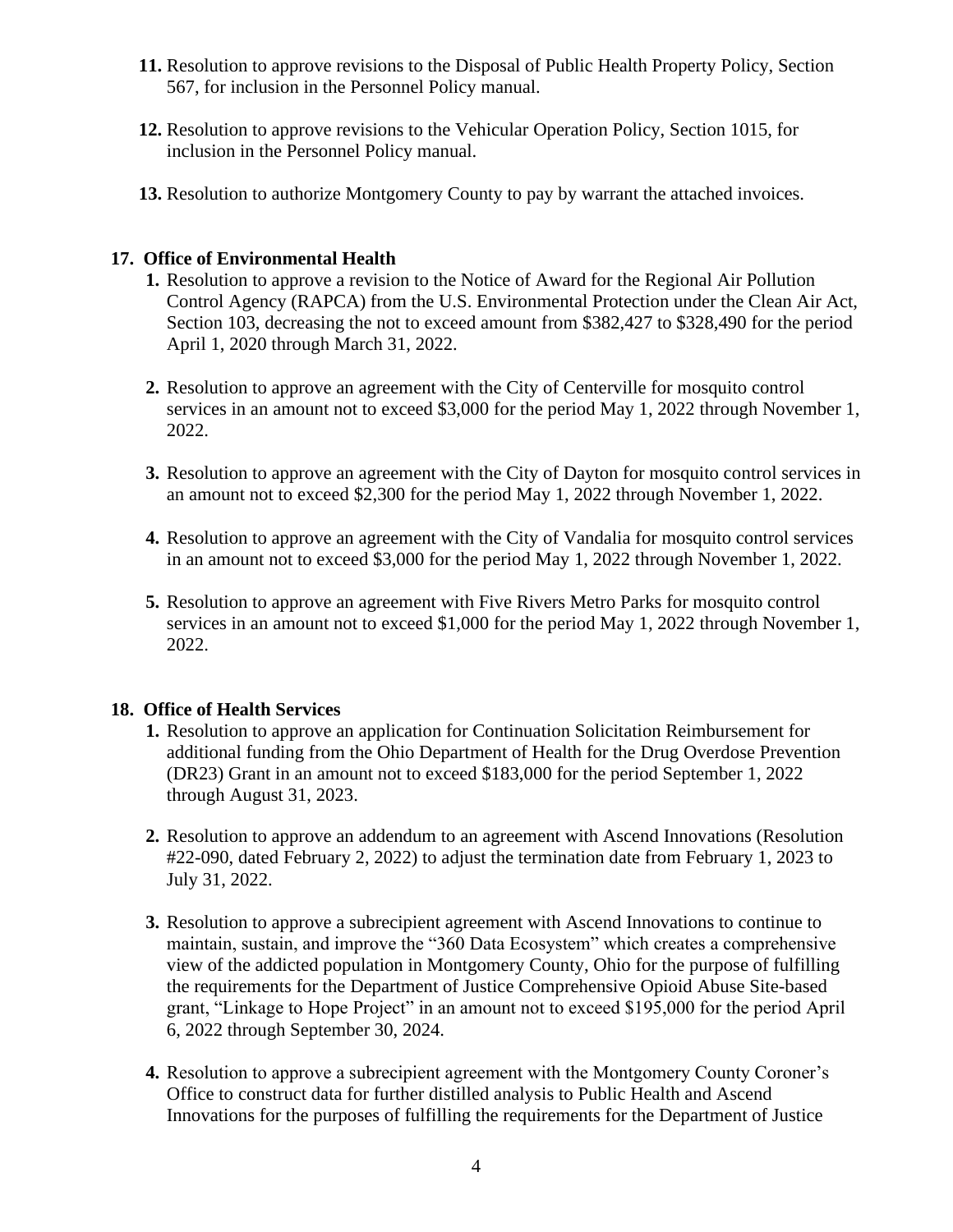- **11.** Resolution to approve revisions to the Disposal of Public Health Property Policy, Section 567, for inclusion in the Personnel Policy manual.
- **12.** Resolution to approve revisions to the Vehicular Operation Policy, Section 1015, for inclusion in the Personnel Policy manual.
- **13.** Resolution to authorize Montgomery County to pay by warrant the attached invoices.

### **17. Office of Environmental Health**

- **1.** Resolution to approve a revision to the Notice of Award for the Regional Air Pollution Control Agency (RAPCA) from the U.S. Environmental Protection under the Clean Air Act, Section 103, decreasing the not to exceed amount from \$382,427 to \$328,490 for the period April 1, 2020 through March 31, 2022.
- **2.** Resolution to approve an agreement with the City of Centerville for mosquito control services in an amount not to exceed \$3,000 for the period May 1, 2022 through November 1, 2022.
- **3.** Resolution to approve an agreement with the City of Dayton for mosquito control services in an amount not to exceed \$2,300 for the period May 1, 2022 through November 1, 2022.
- **4.** Resolution to approve an agreement with the City of Vandalia for mosquito control services in an amount not to exceed \$3,000 for the period May 1, 2022 through November 1, 2022.
- **5.** Resolution to approve an agreement with Five Rivers Metro Parks for mosquito control services in an amount not to exceed \$1,000 for the period May 1, 2022 through November 1, 2022.

## **18. Office of Health Services**

- **1.** Resolution to approve an application for Continuation Solicitation Reimbursement for additional funding from the Ohio Department of Health for the Drug Overdose Prevention (DR23) Grant in an amount not to exceed \$183,000 for the period September 1, 2022 through August 31, 2023.
- **2.** Resolution to approve an addendum to an agreement with Ascend Innovations (Resolution #22-090, dated February 2, 2022) to adjust the termination date from February 1, 2023 to July 31, 2022.
- **3.** Resolution to approve a subrecipient agreement with Ascend Innovations to continue to maintain, sustain, and improve the "360 Data Ecosystem" which creates a comprehensive view of the addicted population in Montgomery County, Ohio for the purpose of fulfilling the requirements for the Department of Justice Comprehensive Opioid Abuse Site-based grant, "Linkage to Hope Project" in an amount not to exceed \$195,000 for the period April 6, 2022 through September 30, 2024.
- **4.** Resolution to approve a subrecipient agreement with the Montgomery County Coroner's Office to construct data for further distilled analysis to Public Health and Ascend Innovations for the purposes of fulfilling the requirements for the Department of Justice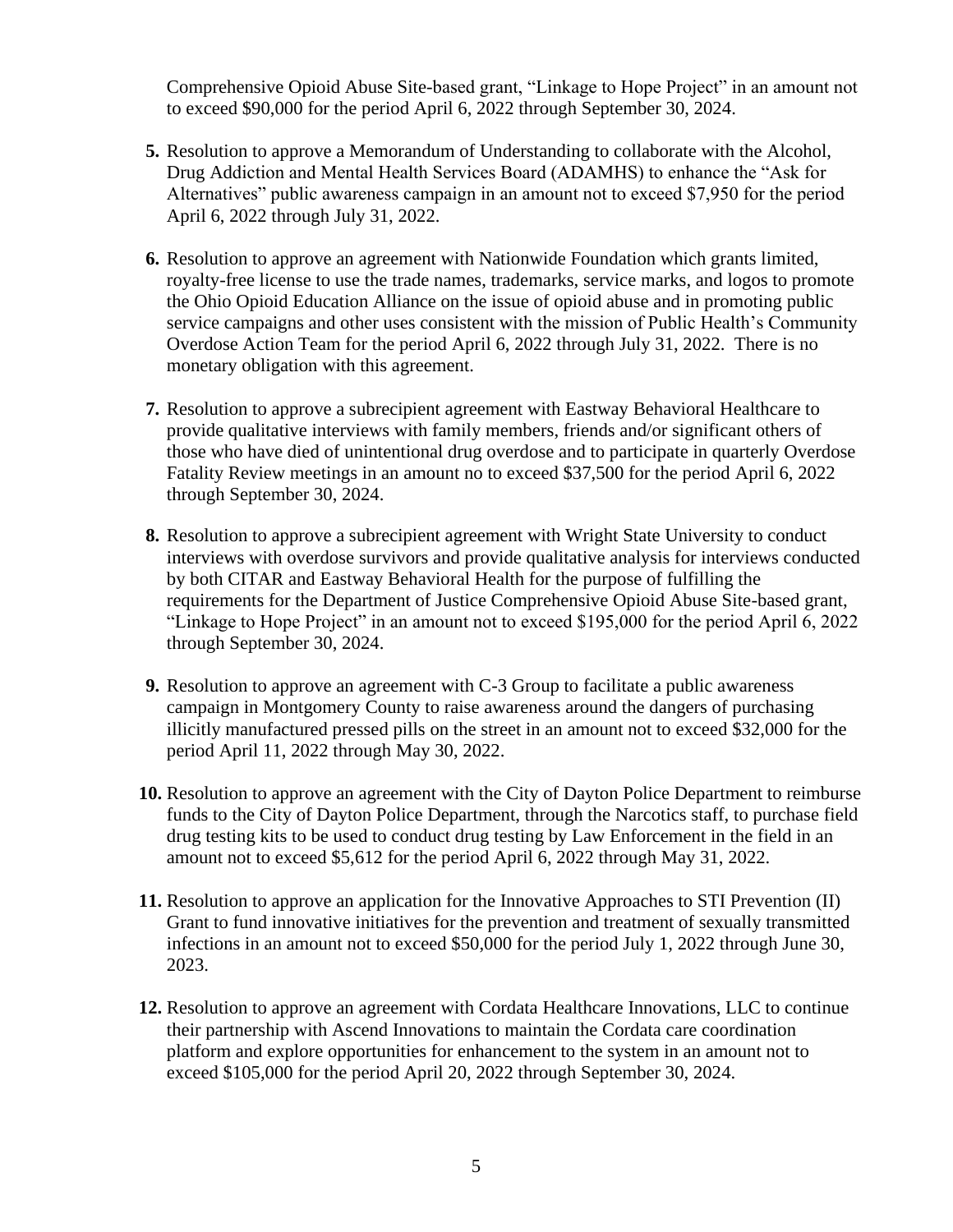Comprehensive Opioid Abuse Site-based grant, "Linkage to Hope Project" in an amount not to exceed \$90,000 for the period April 6, 2022 through September 30, 2024.

- **5.** Resolution to approve a Memorandum of Understanding to collaborate with the Alcohol, Drug Addiction and Mental Health Services Board (ADAMHS) to enhance the "Ask for Alternatives" public awareness campaign in an amount not to exceed \$7,950 for the period April 6, 2022 through July 31, 2022.
- **6.** Resolution to approve an agreement with Nationwide Foundation which grants limited, royalty-free license to use the trade names, trademarks, service marks, and logos to promote the Ohio Opioid Education Alliance on the issue of opioid abuse and in promoting public service campaigns and other uses consistent with the mission of Public Health's Community Overdose Action Team for the period April 6, 2022 through July 31, 2022. There is no monetary obligation with this agreement.
- **7.** Resolution to approve a subrecipient agreement with Eastway Behavioral Healthcare to provide qualitative interviews with family members, friends and/or significant others of those who have died of unintentional drug overdose and to participate in quarterly Overdose Fatality Review meetings in an amount no to exceed \$37,500 for the period April 6, 2022 through September 30, 2024.
- **8.** Resolution to approve a subrecipient agreement with Wright State University to conduct interviews with overdose survivors and provide qualitative analysis for interviews conducted by both CITAR and Eastway Behavioral Health for the purpose of fulfilling the requirements for the Department of Justice Comprehensive Opioid Abuse Site-based grant, "Linkage to Hope Project" in an amount not to exceed \$195,000 for the period April 6, 2022 through September 30, 2024.
- **9.** Resolution to approve an agreement with C-3 Group to facilitate a public awareness campaign in Montgomery County to raise awareness around the dangers of purchasing illicitly manufactured pressed pills on the street in an amount not to exceed \$32,000 for the period April 11, 2022 through May 30, 2022.
- **10.** Resolution to approve an agreement with the City of Dayton Police Department to reimburse funds to the City of Dayton Police Department, through the Narcotics staff, to purchase field drug testing kits to be used to conduct drug testing by Law Enforcement in the field in an amount not to exceed \$5,612 for the period April 6, 2022 through May 31, 2022.
- **11.** Resolution to approve an application for the Innovative Approaches to STI Prevention (II) Grant to fund innovative initiatives for the prevention and treatment of sexually transmitted infections in an amount not to exceed \$50,000 for the period July 1, 2022 through June 30, 2023.
- **12.** Resolution to approve an agreement with Cordata Healthcare Innovations, LLC to continue their partnership with Ascend Innovations to maintain the Cordata care coordination platform and explore opportunities for enhancement to the system in an amount not to exceed \$105,000 for the period April 20, 2022 through September 30, 2024.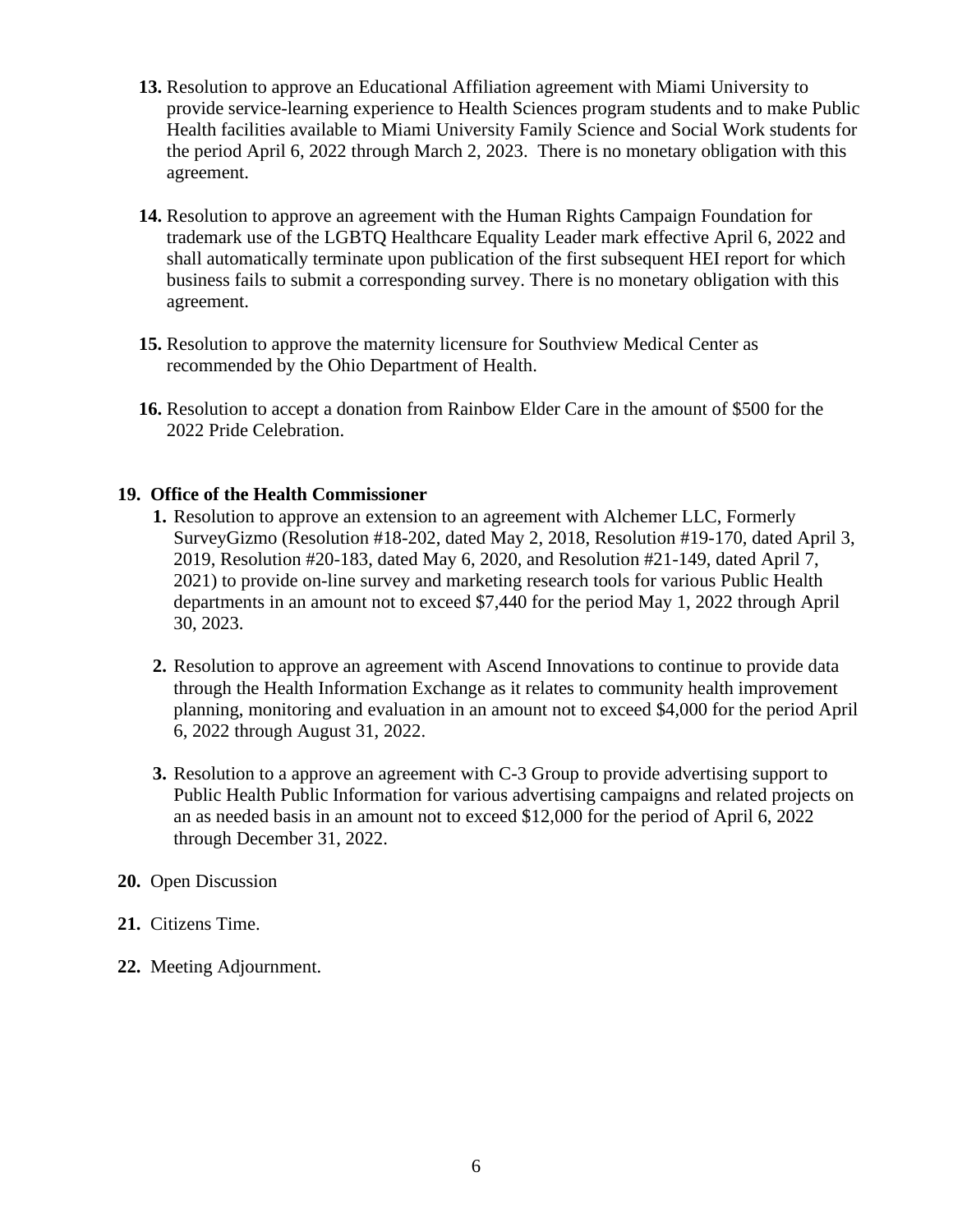- **13.** Resolution to approve an Educational Affiliation agreement with Miami University to provide service-learning experience to Health Sciences program students and to make Public Health facilities available to Miami University Family Science and Social Work students for the period April 6, 2022 through March 2, 2023. There is no monetary obligation with this agreement.
- **14.** Resolution to approve an agreement with the Human Rights Campaign Foundation for trademark use of the LGBTQ Healthcare Equality Leader mark effective April 6, 2022 and shall automatically terminate upon publication of the first subsequent HEI report for which business fails to submit a corresponding survey. There is no monetary obligation with this agreement.
- **15.** Resolution to approve the maternity licensure for Southview Medical Center as recommended by the Ohio Department of Health.
- **16.** Resolution to accept a donation from Rainbow Elder Care in the amount of \$500 for the 2022 Pride Celebration.

#### **19. Office of the Health Commissioner**

- **1.** Resolution to approve an extension to an agreement with Alchemer LLC, Formerly SurveyGizmo (Resolution #18-202, dated May 2, 2018, Resolution #19-170, dated April 3, 2019, Resolution #20-183, dated May 6, 2020, and Resolution #21-149, dated April 7, 2021) to provide on-line survey and marketing research tools for various Public Health departments in an amount not to exceed \$7,440 for the period May 1, 2022 through April 30, 2023.
- **2.** Resolution to approve an agreement with Ascend Innovations to continue to provide data through the Health Information Exchange as it relates to community health improvement planning, monitoring and evaluation in an amount not to exceed \$4,000 for the period April 6, 2022 through August 31, 2022.
- **3.** Resolution to a approve an agreement with C-3 Group to provide advertising support to Public Health Public Information for various advertising campaigns and related projects on an as needed basis in an amount not to exceed \$12,000 for the period of April 6, 2022 through December 31, 2022.

#### **20.** Open Discussion

- **21.** Citizens Time.
- **22.** Meeting Adjournment.